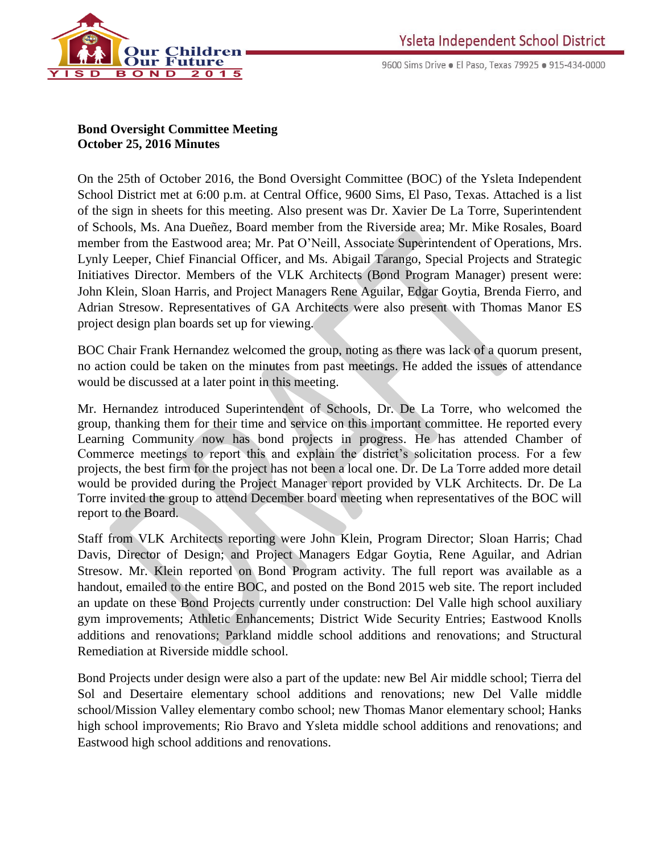

9600 Sims Drive · El Paso, Texas 79925 · 915-434-0000

## **Bond Oversight Committee Meeting October 25, 2016 Minutes**

On the 25th of October 2016, the Bond Oversight Committee (BOC) of the Ysleta Independent School District met at 6:00 p.m. at Central Office, 9600 Sims, El Paso, Texas. Attached is a list of the sign in sheets for this meeting. Also present was Dr. Xavier De La Torre, Superintendent of Schools, Ms. Ana Dueñez, Board member from the Riverside area; Mr. Mike Rosales, Board member from the Eastwood area; Mr. Pat O'Neill, Associate Superintendent of Operations, Mrs. Lynly Leeper, Chief Financial Officer, and Ms. Abigail Tarango, Special Projects and Strategic Initiatives Director. Members of the VLK Architects (Bond Program Manager) present were: John Klein, Sloan Harris, and Project Managers Rene Aguilar, Edgar Goytia, Brenda Fierro, and Adrian Stresow. Representatives of GA Architects were also present with Thomas Manor ES project design plan boards set up for viewing.

BOC Chair Frank Hernandez welcomed the group, noting as there was lack of a quorum present, no action could be taken on the minutes from past meetings. He added the issues of attendance would be discussed at a later point in this meeting.

Mr. Hernandez introduced Superintendent of Schools, Dr. De La Torre, who welcomed the group, thanking them for their time and service on this important committee. He reported every Learning Community now has bond projects in progress. He has attended Chamber of Commerce meetings to report this and explain the district's solicitation process. For a few projects, the best firm for the project has not been a local one. Dr. De La Torre added more detail would be provided during the Project Manager report provided by VLK Architects. Dr. De La Torre invited the group to attend December board meeting when representatives of the BOC will report to the Board.

Staff from VLK Architects reporting were John Klein, Program Director; Sloan Harris; Chad Davis, Director of Design; and Project Managers Edgar Goytia, Rene Aguilar, and Adrian Stresow. Mr. Klein reported on Bond Program activity. The full report was available as a handout, emailed to the entire BOC, and posted on the Bond 2015 web site. The report included an update on these Bond Projects currently under construction: Del Valle high school auxiliary gym improvements; Athletic Enhancements; District Wide Security Entries; Eastwood Knolls additions and renovations; Parkland middle school additions and renovations; and Structural Remediation at Riverside middle school.

Bond Projects under design were also a part of the update: new Bel Air middle school; Tierra del Sol and Desertaire elementary school additions and renovations; new Del Valle middle school/Mission Valley elementary combo school; new Thomas Manor elementary school; Hanks high school improvements; Rio Bravo and Ysleta middle school additions and renovations; and Eastwood high school additions and renovations.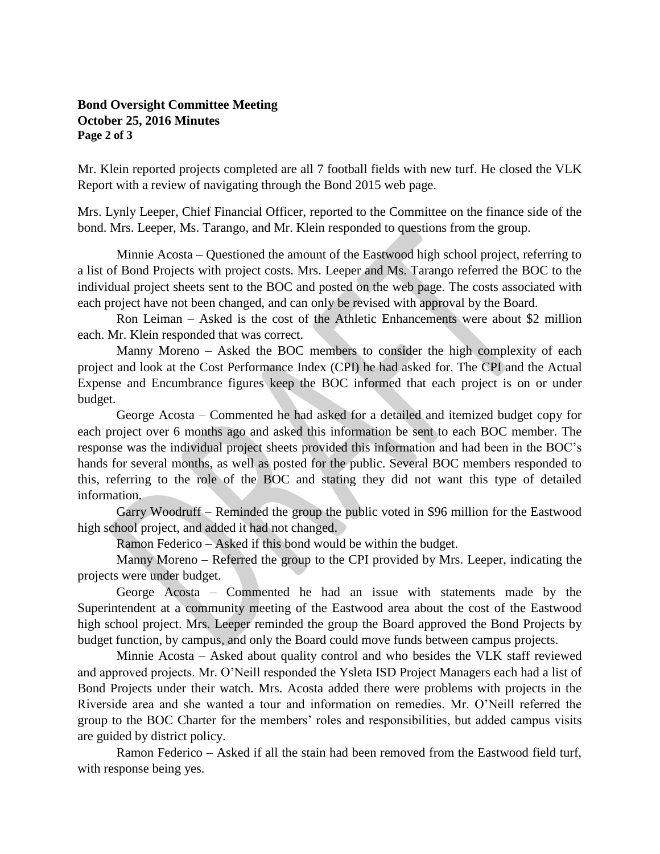## **Bond Oversight Committee Meeting October 25, 2016 Minutes Page 2 of 3**

Mr. Klein reported projects completed are all 7 football fields with new turf. He closed the VLK Report with a review of navigating through the Bond 2015 web page.

Mrs. Lynly Leeper, Chief Financial Officer, reported to the Committee on the finance side of the bond. Mrs. Leeper, Ms. Tarango, and Mr. Klein responded to questions from the group.

Minnie Acosta – Questioned the amount of the Eastwood high school project, referring to a list of Bond Projects with project costs. Mrs. Leeper and Ms. Tarango referred the BOC to the individual project sheets sent to the BOC and posted on the web page. The costs associated with each project have not been changed, and can only be revised with approval by the Board.

 Ron Leiman – Asked is the cost of the Athletic Enhancements were about \$2 million each. Mr. Klein responded that was correct.

 Manny Moreno – Asked the BOC members to consider the high complexity of each project and look at the Cost Performance Index (CPI) he had asked for. The CPI and the Actual Expense and Encumbrance figures keep the BOC informed that each project is on or under budget.

 George Acosta – Commented he had asked for a detailed and itemized budget copy for each project over 6 months ago and asked this information be sent to each BOC member. The response was the individual project sheets provided this information and had been in the BOC's hands for several months, as well as posted for the public. Several BOC members responded to this, referring to the role of the BOC and stating they did not want this type of detailed information.

 Garry Woodruff – Reminded the group the public voted in \$96 million for the Eastwood high school project, and added it had not changed.

Ramon Federico – Asked if this bond would be within the budget.

 Manny Moreno – Referred the group to the CPI provided by Mrs. Leeper, indicating the projects were under budget.

 George Acosta – Commented he had an issue with statements made by the Superintendent at a community meeting of the Eastwood area about the cost of the Eastwood high school project. Mrs. Leeper reminded the group the Board approved the Bond Projects by budget function, by campus, and only the Board could move funds between campus projects.

 Minnie Acosta – Asked about quality control and who besides the VLK staff reviewed and approved projects. Mr. O'Neill responded the Ysleta ISD Project Managers each had a list of Bond Projects under their watch. Mrs. Acosta added there were problems with projects in the Riverside area and she wanted a tour and information on remedies. Mr. O'Neill referred the group to the BOC Charter for the members' roles and responsibilities, but added campus visits are guided by district policy.

 Ramon Federico – Asked if all the stain had been removed from the Eastwood field turf, with response being yes.